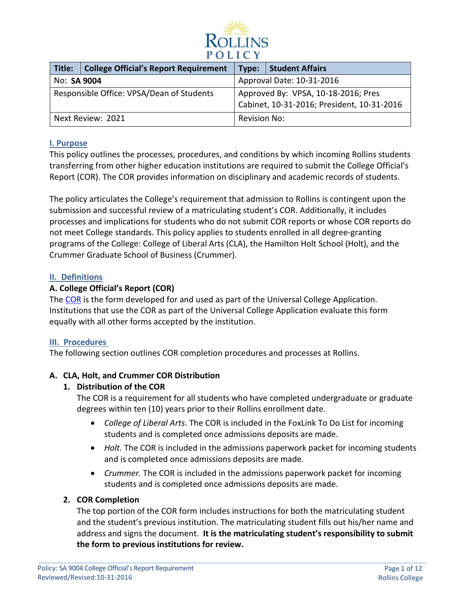

| Title:                                    | <b>College Official's Report Requirement</b> | Type:                                                                             | Student Affairs |
|-------------------------------------------|----------------------------------------------|-----------------------------------------------------------------------------------|-----------------|
| No: SA 9004                               |                                              | Approval Date: 10-31-2016                                                         |                 |
| Responsible Office: VPSA/Dean of Students |                                              | Approved By: VPSA, 10-18-2016; Pres<br>Cabinet, 10-31-2016; President, 10-31-2016 |                 |
| Next Review: 2021                         |                                              | <b>Revision No:</b>                                                               |                 |

## **I. Purpose**

This policy outlines the processes, procedures, and conditions by which incoming Rollins students transferring from other higher education institutions are required to submit the College Official's Report (COR). The COR provides information on disciplinary and academic records of students.

The policy articulates the College's requirement that admission to Rollins is contingent upon the submission and successful review of a matriculating student's COR. Additionally, it includes processes and implications for students who do not submit COR reports or whose COR reports do not meet College standards. This policy applies to students enrolled in all degree-granting programs of the College: College of Liberal Arts (CLA), the Hamilton Holt School (Holt), and the Crummer Graduate School of Business (Crummer).

## **II. Definitions**

## **A. College Official's Report (COR)**

The [COR](https://www.universalcollegeapp.com/documents/uca-college-report.pdf) is the form developed for and used as part of the Universal College Application. Institutions that use the COR as part of the Universal College Application evaluate this form equally with all other forms accepted by the institution.

## **III. Procedures**

The following section outlines COR completion procedures and processes at Rollins.

## **A. CLA, Holt, and Crummer COR Distribution**

## **1. Distribution of the COR**

The COR is a requirement for all students who have completed undergraduate or graduate degrees within ten (10) years prior to their Rollins enrollment date.

- *College of Liberal Arts*. The COR is included in the FoxLink To Do List for incoming students and is completed once admissions deposits are made.
- *Holt.* The COR is included in the admissions paperwork packet for incoming students and is completed once admissions deposits are made.
- *Crummer.* The COR is included in the admissions paperwork packet for incoming students and is completed once admissions deposits are made.

## **2. COR Completion**

The top portion of the COR form includes instructions for both the matriculating student and the student's previous institution. The matriculating student fills out his/her name and address and signs the document. **It is the matriculating student's responsibility to submit the form to previous institutions for review.**